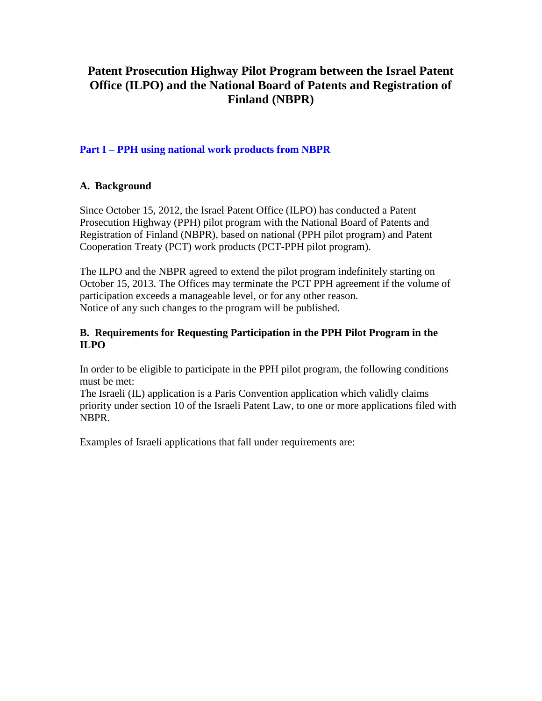# **Patent Prosecution Highway Pilot Program between the Israel Patent Office (ILPO) and the National Board of Patents and Registration of Finland (NBPR)**

# **Part I – PPH using national work products from NBPR**

# **A. Background**

Since October 15, 2012, the Israel Patent Office (ILPO) has conducted a Patent Prosecution Highway (PPH) pilot program with the National Board of Patents and Registration of Finland (NBPR), based on national (PPH pilot program) and Patent Cooperation Treaty (PCT) work products (PCT-PPH pilot program).

The ILPO and the NBPR agreed to extend the pilot program indefinitely starting on October 15, 2013. The Offices may terminate the PCT PPH agreement if the volume of participation exceeds a manageable level, or for any other reason. Notice of any such changes to the program will be published.

## **B. Requirements for Requesting Participation in the PPH Pilot Program in the ILPO**

In order to be eligible to participate in the PPH pilot program, the following conditions must be met:

The Israeli (IL) application is a Paris Convention application which validly claims priority under section 10 of the Israeli Patent Law, to one or more applications filed with NBPR.

Examples of Israeli applications that fall under requirements are: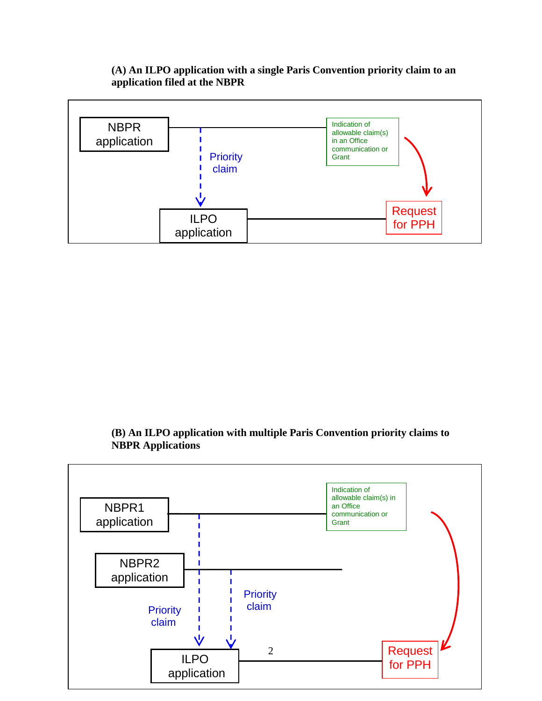### **(A) An ILPO application with a single Paris Convention priority claim to an application filed at the NBPR**



# **(B) An ILPO application with multiple Paris Convention priority claims to NBPR Applications**

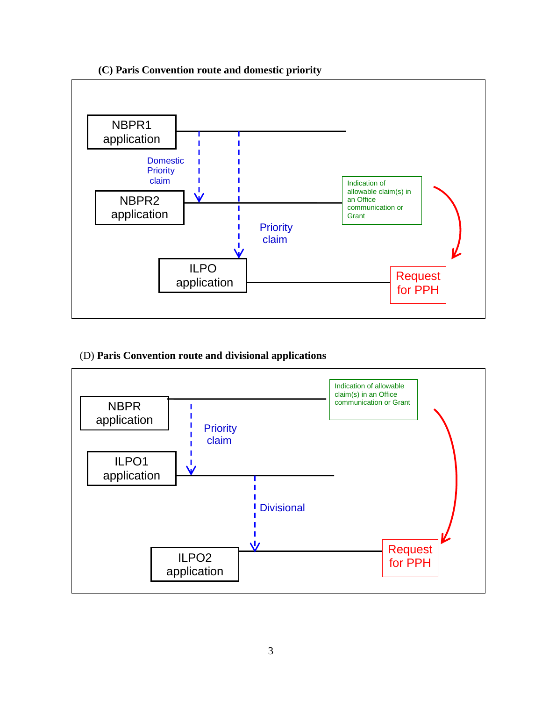

## **(C) Paris Convention route and domestic priority**

#### (D) **Paris Convention route and divisional applications**

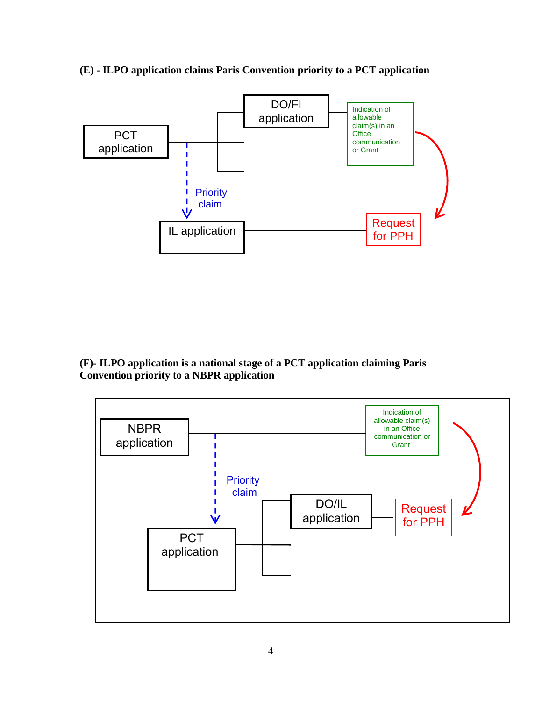

**(E) - ILPO application claims Paris Convention priority to a PCT application**

**(F)- ILPO application is a national stage of a PCT application claiming Paris Convention priority to a NBPR application**

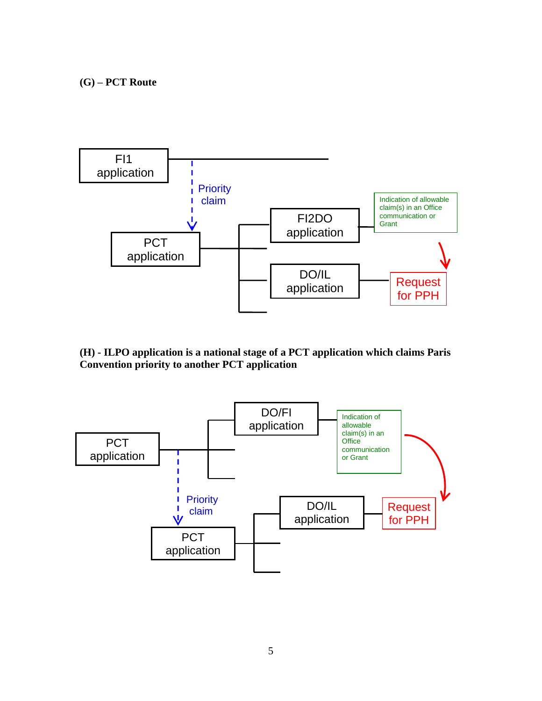**(G) – PCT Route**



**(H) - ILPO application is a national stage of a PCT application which claims Paris Convention priority to another PCT application**

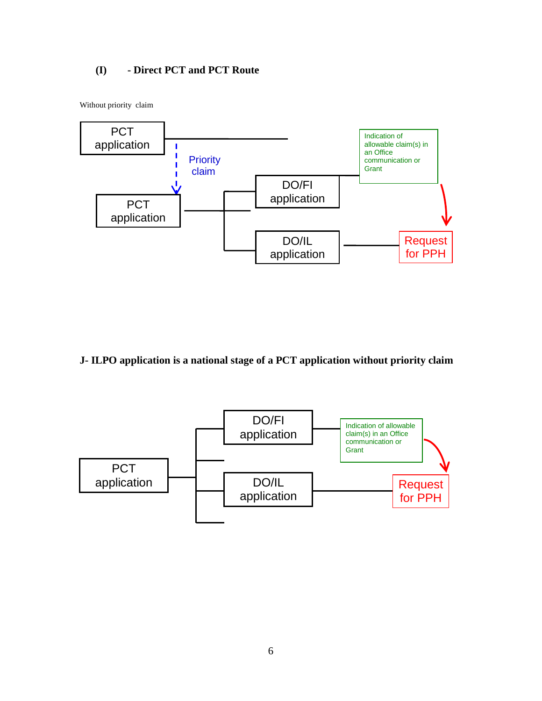# **(I) - Direct PCT and PCT Route**

Without priority claim



# **J- ILPO application is a national stage of a PCT application without priority claim**

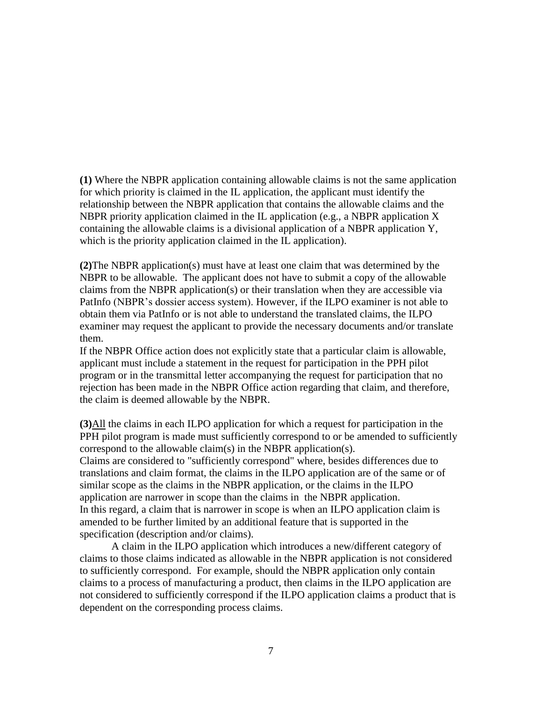**(1)** Where the NBPR application containing allowable claims is not the same application for which priority is claimed in the IL application, the applicant must identify the relationship between the NBPR application that contains the allowable claims and the NBPR priority application claimed in the IL application (e.g., a NBPR application X containing the allowable claims is a divisional application of a NBPR application Y, which is the priority application claimed in the IL application).

**(2)**The NBPR application(s) must have at least one claim that was determined by the NBPR to be allowable. The applicant does not have to submit a copy of the allowable claims from the NBPR application(s) or their translation when they are accessible via PatInfo (NBPR's dossier access system). However, if the ILPO examiner is not able to obtain them via PatInfo or is not able to understand the translated claims, the ILPO examiner may request the applicant to provide the necessary documents and/or translate them.

If the NBPR Office action does not explicitly state that a particular claim is allowable, applicant must include a statement in the request for participation in the PPH pilot program or in the transmittal letter accompanying the request for participation that no rejection has been made in the NBPR Office action regarding that claim, and therefore, the claim is deemed allowable by the NBPR.

**(3)**All the claims in each ILPO application for which a request for participation in the PPH pilot program is made must sufficiently correspond to or be amended to sufficiently correspond to the allowable claim(s) in the NBPR application(s). Claims are considered to "sufficiently correspond" where, besides differences due to translations and claim format, the claims in the ILPO application are of the same or of similar scope as the claims in the NBPR application, or the claims in the ILPO application are narrower in scope than the claims in the NBPR application. In this regard, a claim that is narrower in scope is when an ILPO application claim is amended to be further limited by an additional feature that is supported in the specification (description and/or claims).

A claim in the ILPO application which introduces a new/different category of claims to those claims indicated as allowable in the NBPR application is not considered to sufficiently correspond. For example, should the NBPR application only contain claims to a process of manufacturing a product, then claims in the ILPO application are not considered to sufficiently correspond if the ILPO application claims a product that is dependent on the corresponding process claims.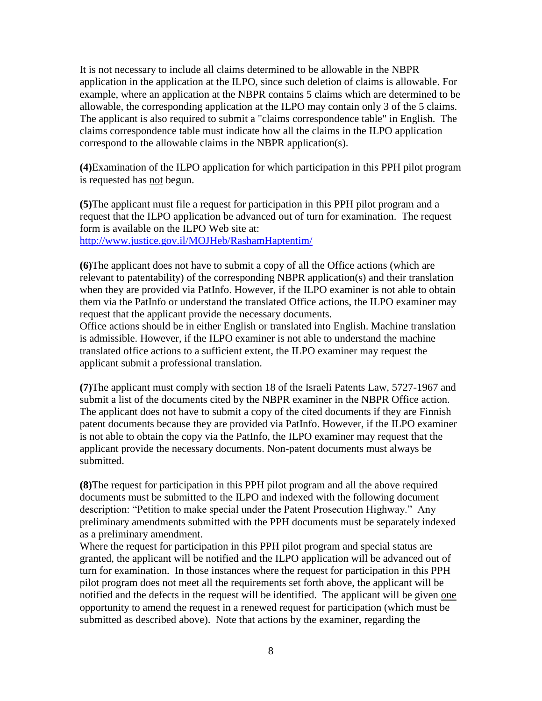It is not necessary to include all claims determined to be allowable in the NBPR application in the application at the ILPO, since such deletion of claims is allowable. For example, where an application at the NBPR contains 5 claims which are determined to be allowable, the corresponding application at the ILPO may contain only 3 of the 5 claims. The applicant is also required to submit a "claims correspondence table" in English. The claims correspondence table must indicate how all the claims in the ILPO application correspond to the allowable claims in the NBPR application(s).

**(4)**Examination of the ILPO application for which participation in this PPH pilot program is requested has not begun.

**(5)**The applicant must file a request for participation in this PPH pilot program and a request that the ILPO application be advanced out of turn for examination. The request form is available on the ILPO Web site at: <http://www.justice.gov.il/MOJHeb/RashamHaptentim/>

**(6)**The applicant does not have to submit a copy of all the Office actions (which are relevant to patentability) of the corresponding NBPR application(s) and their translation when they are provided via PatInfo. However, if the ILPO examiner is not able to obtain them via the PatInfo or understand the translated Office actions, the ILPO examiner may request that the applicant provide the necessary documents.

Office actions should be in either English or translated into English. Machine translation is admissible. However, if the ILPO examiner is not able to understand the machine translated office actions to a sufficient extent, the ILPO examiner may request the applicant submit a professional translation.

**(7)**The applicant must comply with section 18 of the Israeli Patents Law, 5727-1967 and submit a list of the documents cited by the NBPR examiner in the NBPR Office action. The applicant does not have to submit a copy of the cited documents if they are Finnish patent documents because they are provided via PatInfo. However, if the ILPO examiner is not able to obtain the copy via the PatInfo, the ILPO examiner may request that the applicant provide the necessary documents. Non-patent documents must always be submitted.

**(8)**The request for participation in this PPH pilot program and all the above required documents must be submitted to the ILPO and indexed with the following document description: "Petition to make special under the Patent Prosecution Highway." Any preliminary amendments submitted with the PPH documents must be separately indexed as a preliminary amendment.

Where the request for participation in this PPH pilot program and special status are granted, the applicant will be notified and the ILPO application will be advanced out of turn for examination. In those instances where the request for participation in this PPH pilot program does not meet all the requirements set forth above, the applicant will be notified and the defects in the request will be identified. The applicant will be given one opportunity to amend the request in a renewed request for participation (which must be submitted as described above). Note that actions by the examiner, regarding the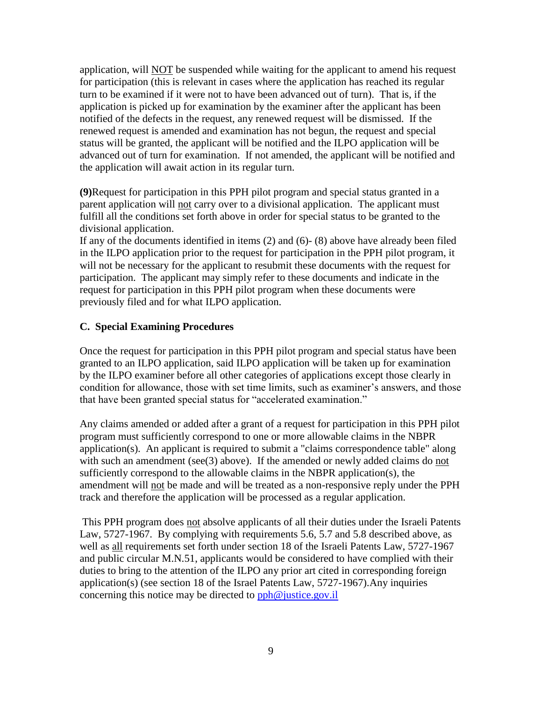application, will NOT be suspended while waiting for the applicant to amend his request for participation (this is relevant in cases where the application has reached its regular turn to be examined if it were not to have been advanced out of turn). That is, if the application is picked up for examination by the examiner after the applicant has been notified of the defects in the request, any renewed request will be dismissed. If the renewed request is amended and examination has not begun, the request and special status will be granted, the applicant will be notified and the ILPO application will be advanced out of turn for examination. If not amended, the applicant will be notified and the application will await action in its regular turn.

**(9)**Request for participation in this PPH pilot program and special status granted in a parent application will not carry over to a divisional application. The applicant must fulfill all the conditions set forth above in order for special status to be granted to the divisional application.

If any of the documents identified in items (2) and (6)- (8) above have already been filed in the ILPO application prior to the request for participation in the PPH pilot program, it will not be necessary for the applicant to resubmit these documents with the request for participation. The applicant may simply refer to these documents and indicate in the request for participation in this PPH pilot program when these documents were previously filed and for what ILPO application.

### **C. Special Examining Procedures**

Once the request for participation in this PPH pilot program and special status have been granted to an ILPO application, said ILPO application will be taken up for examination by the ILPO examiner before all other categories of applications except those clearly in condition for allowance, those with set time limits, such as examiner's answers, and those that have been granted special status for "accelerated examination."

Any claims amended or added after a grant of a request for participation in this PPH pilot program must sufficiently correspond to one or more allowable claims in the NBPR application(s). An applicant is required to submit a "claims correspondence table" along with such an amendment (see(3) above). If the amended or newly added claims do not sufficiently correspond to the allowable claims in the NBPR application(s), the amendment will not be made and will be treated as a non-responsive reply under the PPH track and therefore the application will be processed as a regular application.

This PPH program does not absolve applicants of all their duties under the Israeli Patents Law, 5727-1967. By complying with requirements 5.6, 5.7 and 5.8 described above, as well as all requirements set forth under section 18 of the Israeli Patents Law, 5727-1967 and public circular M.N.51, applicants would be considered to have complied with their duties to bring to the attention of the ILPO any prior art cited in corresponding foreign application(s) (see section 18 of the Israel Patents Law, 5727-1967).Any inquiries concerning this notice may be directed to [pph@justice.gov.il](file:///C:/Users/GershonJ/Documentum/Checkout/pph@justice.gov.il)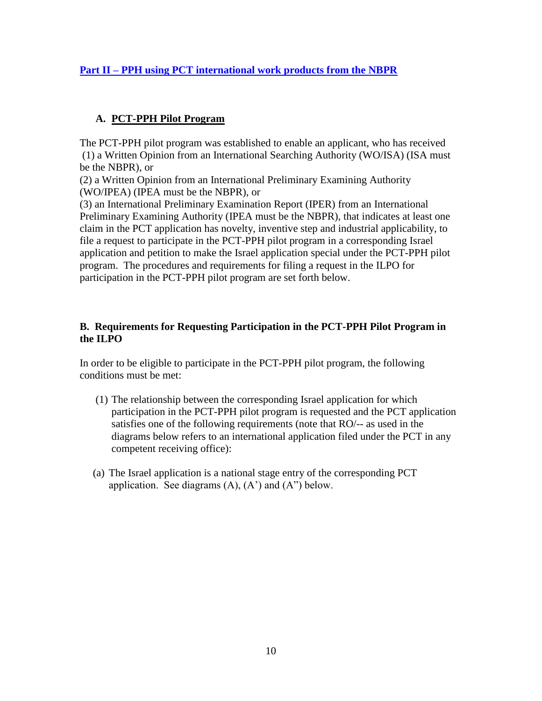# **Part II – PPH using PCT international work products from the NBPR**

### **A. PCT-PPH Pilot Program**

The PCT-PPH pilot program was established to enable an applicant, who has received (1) a Written Opinion from an International Searching Authority (WO/ISA) (ISA must be the NBPR), or

(2) a Written Opinion from an International Preliminary Examining Authority (WO/IPEA) (IPEA must be the NBPR), or

(3) an International Preliminary Examination Report (IPER) from an International Preliminary Examining Authority (IPEA must be the NBPR), that indicates at least one claim in the PCT application has novelty, inventive step and industrial applicability, to file a request to participate in the PCT-PPH pilot program in a corresponding Israel application and petition to make the Israel application special under the PCT-PPH pilot program. The procedures and requirements for filing a request in the ILPO for participation in the PCT-PPH pilot program are set forth below.

### **B. Requirements for Requesting Participation in the PCT-PPH Pilot Program in the ILPO**

In order to be eligible to participate in the PCT-PPH pilot program, the following conditions must be met:

- (1) The relationship between the corresponding Israel application for which participation in the PCT-PPH pilot program is requested and the PCT application satisfies one of the following requirements (note that RO/-- as used in the diagrams below refers to an international application filed under the PCT in any competent receiving office):
- (a) The Israel application is a national stage entry of the corresponding PCT application. See diagrams  $(A)$ ,  $(A')$  and  $(A'')$  below.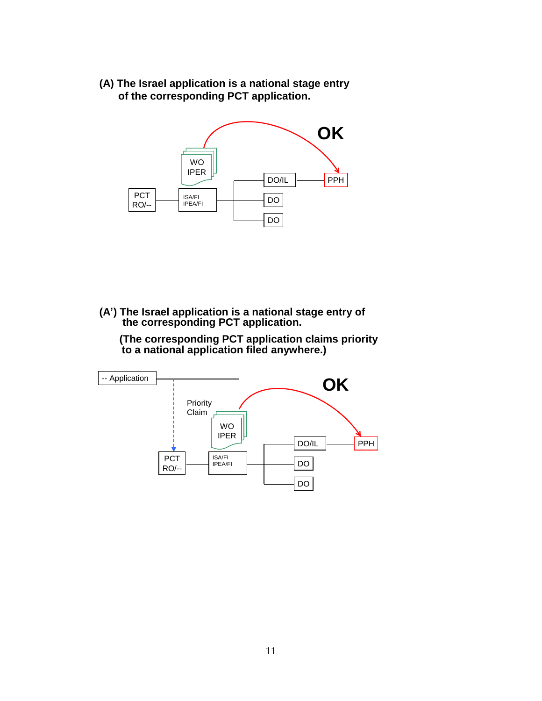**(A) The Israel application is a national stage entry of the corresponding PCT application.**



**(A') The Israel application is a national stage entry of the corresponding PCT application.**

**(The corresponding PCT application claims priority to a national application filed anywhere.)**

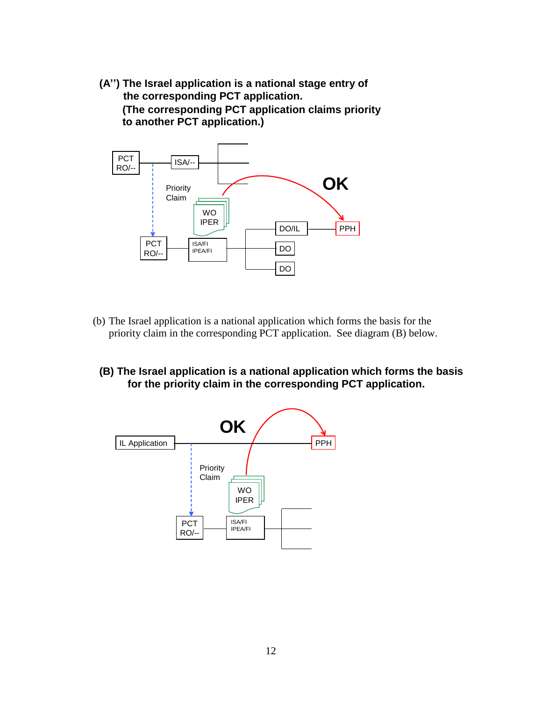**(A'') The Israel application is a national stage entry of the corresponding PCT application. (The corresponding PCT application claims priority to another PCT application.)**



- (b) The Israel application is a national application which forms the basis for the priority claim in the corresponding PCT application. See diagram (B) below.
	- **(B) The Israel application is a national application which forms the basis for the priority claim in the corresponding PCT application.**

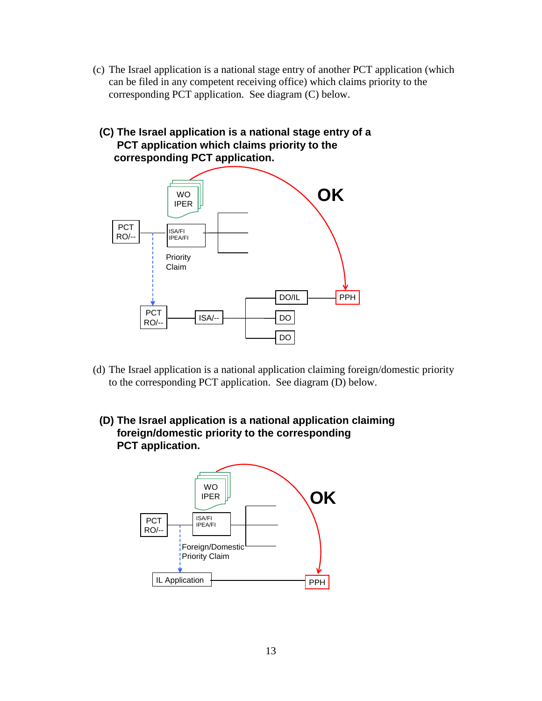- (c) The Israel application is a national stage entry of another PCT application (which can be filed in any competent receiving office) which claims priority to the corresponding PCT application. See diagram (C) below.
	- **(C) The Israel application is a national stage entry of a PCT application which claims priority to the corresponding PCT application.**



- (d) The Israel application is a national application claiming foreign/domestic priority to the corresponding PCT application. See diagram (D) below.
	- **(D) The Israel application is a national application claiming foreign/domestic priority to the corresponding PCT application.**

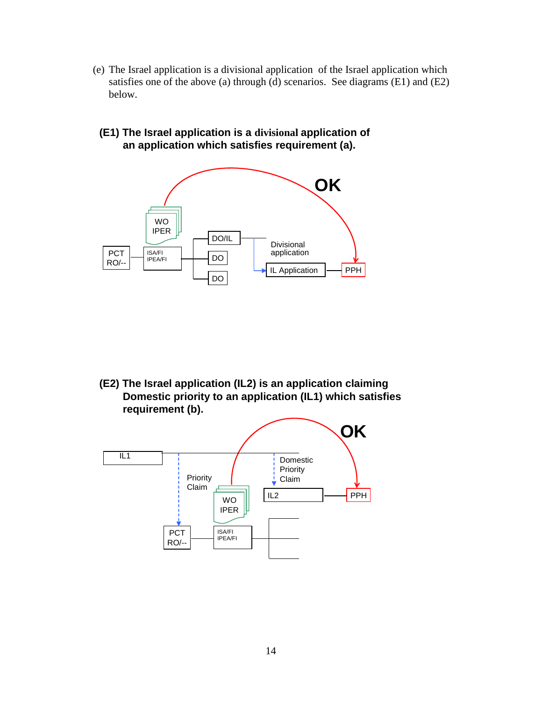- (e) The Israel application is a divisional application of the Israel application which satisfies one of the above (a) through (d) scenarios. See diagrams (E1) and (E2) below.
- **(E1) The Israel application is a divisional application of an application which satisfies requirement (a).**



**(E2) The Israel application (IL2) is an application claiming Domestic priority to an application (IL1) which satisfies requirement (b).** 

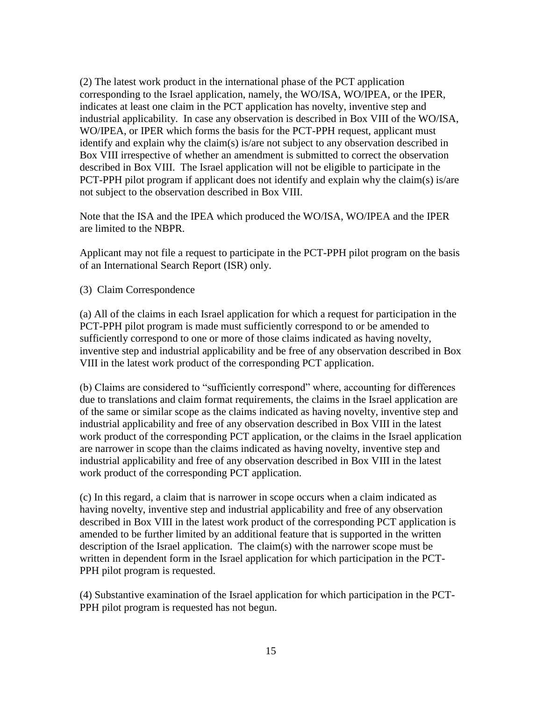(2) The latest work product in the international phase of the PCT application corresponding to the Israel application, namely, the WO/ISA, WO/IPEA, or the IPER, indicates at least one claim in the PCT application has novelty, inventive step and industrial applicability. In case any observation is described in Box VIII of the WO/ISA, WO/IPEA, or IPER which forms the basis for the PCT-PPH request, applicant must identify and explain why the claim(s) is/are not subject to any observation described in Box VIII irrespective of whether an amendment is submitted to correct the observation described in Box VIII. The Israel application will not be eligible to participate in the PCT-PPH pilot program if applicant does not identify and explain why the claim(s) is/are not subject to the observation described in Box VIII.

Note that the ISA and the IPEA which produced the WO/ISA, WO/IPEA and the IPER are limited to the NBPR.

Applicant may not file a request to participate in the PCT-PPH pilot program on the basis of an International Search Report (ISR) only.

(3) Claim Correspondence

(a) All of the claims in each Israel application for which a request for participation in the PCT-PPH pilot program is made must sufficiently correspond to or be amended to sufficiently correspond to one or more of those claims indicated as having novelty, inventive step and industrial applicability and be free of any observation described in Box VIII in the latest work product of the corresponding PCT application.

(b) Claims are considered to "sufficiently correspond" where, accounting for differences due to translations and claim format requirements, the claims in the Israel application are of the same or similar scope as the claims indicated as having novelty, inventive step and industrial applicability and free of any observation described in Box VIII in the latest work product of the corresponding PCT application, or the claims in the Israel application are narrower in scope than the claims indicated as having novelty, inventive step and industrial applicability and free of any observation described in Box VIII in the latest work product of the corresponding PCT application.

(c) In this regard, a claim that is narrower in scope occurs when a claim indicated as having novelty, inventive step and industrial applicability and free of any observation described in Box VIII in the latest work product of the corresponding PCT application is amended to be further limited by an additional feature that is supported in the written description of the Israel application. The claim(s) with the narrower scope must be written in dependent form in the Israel application for which participation in the PCT-PPH pilot program is requested.

(4) Substantive examination of the Israel application for which participation in the PCT-PPH pilot program is requested has not begun.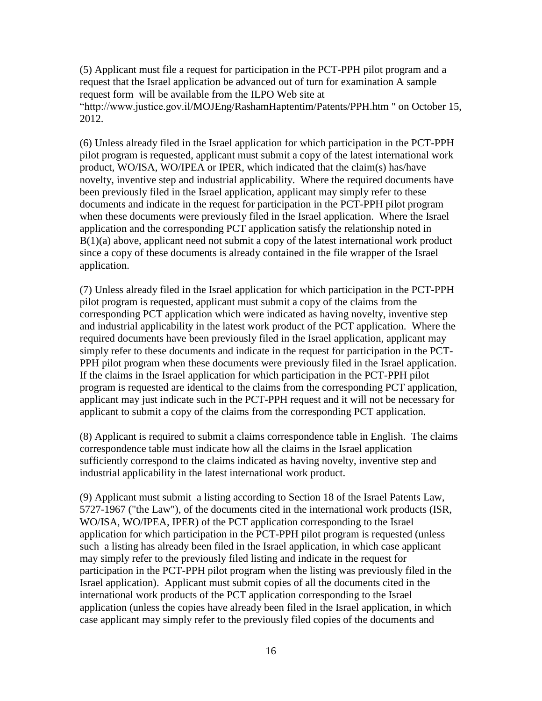(5) Applicant must file a request for participation in the PCT-PPH pilot program and a request that the Israel application be advanced out of turn for examination A sample request form will be available from the ILPO Web site at "http://www.justice.gov.il/MOJEng/RashamHaptentim/Patents/PPH.htm " on October 15, 2012.

(6) Unless already filed in the Israel application for which participation in the PCT-PPH pilot program is requested, applicant must submit a copy of the latest international work product, WO/ISA, WO/IPEA or IPER, which indicated that the claim(s) has/have novelty, inventive step and industrial applicability. Where the required documents have been previously filed in the Israel application, applicant may simply refer to these documents and indicate in the request for participation in the PCT-PPH pilot program when these documents were previously filed in the Israel application. Where the Israel application and the corresponding PCT application satisfy the relationship noted in B(1)(a) above, applicant need not submit a copy of the latest international work product since a copy of these documents is already contained in the file wrapper of the Israel application.

(7) Unless already filed in the Israel application for which participation in the PCT-PPH pilot program is requested, applicant must submit a copy of the claims from the corresponding PCT application which were indicated as having novelty, inventive step and industrial applicability in the latest work product of the PCT application. Where the required documents have been previously filed in the Israel application, applicant may simply refer to these documents and indicate in the request for participation in the PCT-PPH pilot program when these documents were previously filed in the Israel application. If the claims in the Israel application for which participation in the PCT-PPH pilot program is requested are identical to the claims from the corresponding PCT application, applicant may just indicate such in the PCT-PPH request and it will not be necessary for applicant to submit a copy of the claims from the corresponding PCT application.

(8) Applicant is required to submit a claims correspondence table in English. The claims correspondence table must indicate how all the claims in the Israel application sufficiently correspond to the claims indicated as having novelty, inventive step and industrial applicability in the latest international work product.

(9) Applicant must submit a listing according to Section 18 of the Israel Patents Law, 5727-1967 ("the Law"), of the documents cited in the international work products (ISR, WO/ISA, WO/IPEA, IPER) of the PCT application corresponding to the Israel application for which participation in the PCT-PPH pilot program is requested (unless such a listing has already been filed in the Israel application, in which case applicant may simply refer to the previously filed listing and indicate in the request for participation in the PCT-PPH pilot program when the listing was previously filed in the Israel application). Applicant must submit copies of all the documents cited in the international work products of the PCT application corresponding to the Israel application (unless the copies have already been filed in the Israel application, in which case applicant may simply refer to the previously filed copies of the documents and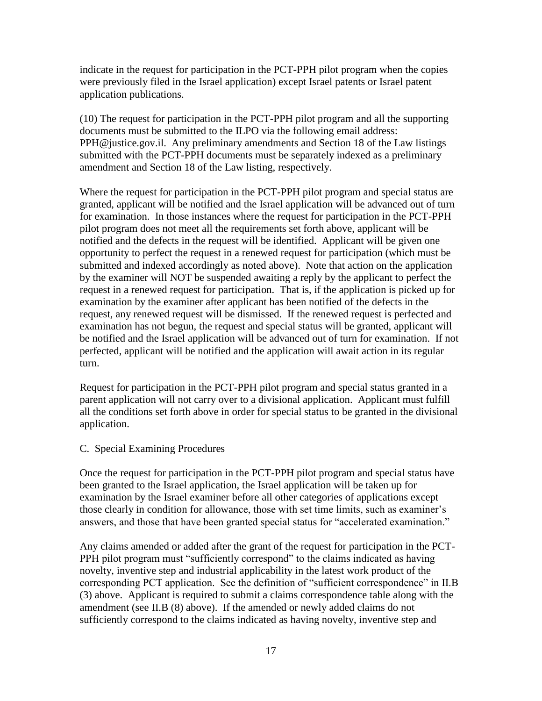indicate in the request for participation in the PCT-PPH pilot program when the copies were previously filed in the Israel application) except Israel patents or Israel patent application publications.

(10) The request for participation in the PCT-PPH pilot program and all the supporting documents must be submitted to the ILPO via the following email address: PPH@justice.gov.il. Any preliminary amendments and Section 18 of the Law listings submitted with the PCT-PPH documents must be separately indexed as a preliminary amendment and Section 18 of the Law listing, respectively.

Where the request for participation in the PCT-PPH pilot program and special status are granted, applicant will be notified and the Israel application will be advanced out of turn for examination. In those instances where the request for participation in the PCT-PPH pilot program does not meet all the requirements set forth above, applicant will be notified and the defects in the request will be identified. Applicant will be given one opportunity to perfect the request in a renewed request for participation (which must be submitted and indexed accordingly as noted above). Note that action on the application by the examiner will NOT be suspended awaiting a reply by the applicant to perfect the request in a renewed request for participation. That is, if the application is picked up for examination by the examiner after applicant has been notified of the defects in the request, any renewed request will be dismissed. If the renewed request is perfected and examination has not begun, the request and special status will be granted, applicant will be notified and the Israel application will be advanced out of turn for examination. If not perfected, applicant will be notified and the application will await action in its regular turn.

Request for participation in the PCT-PPH pilot program and special status granted in a parent application will not carry over to a divisional application. Applicant must fulfill all the conditions set forth above in order for special status to be granted in the divisional application.

#### C. Special Examining Procedures

Once the request for participation in the PCT-PPH pilot program and special status have been granted to the Israel application, the Israel application will be taken up for examination by the Israel examiner before all other categories of applications except those clearly in condition for allowance, those with set time limits, such as examiner's answers, and those that have been granted special status for "accelerated examination."

Any claims amended or added after the grant of the request for participation in the PCT-PPH pilot program must "sufficiently correspond" to the claims indicated as having novelty, inventive step and industrial applicability in the latest work product of the corresponding PCT application. See the definition of "sufficient correspondence" in II.B (3) above. Applicant is required to submit a claims correspondence table along with the amendment (see II.B (8) above). If the amended or newly added claims do not sufficiently correspond to the claims indicated as having novelty, inventive step and